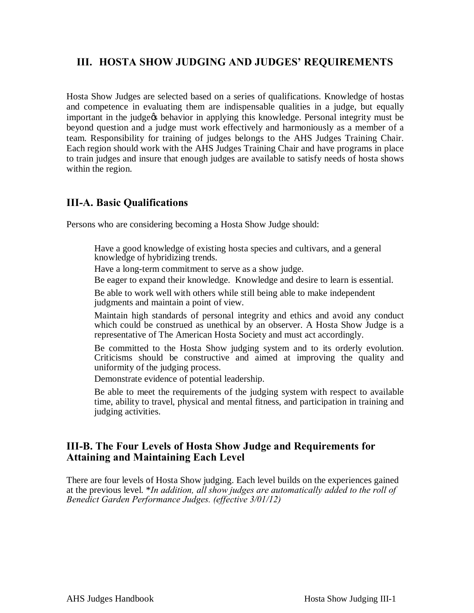# **III. HOSTA SHOW JUDGING AND JUDGES' REQUIREMENTS**

Hosta Show Judges are selected based on a series of qualifications. Knowledge of hostas and competence in evaluating them are indispensable qualities in a judge, but equally important in the judge ts behavior in applying this knowledge. Personal integrity must be beyond question and a judge must work effectively and harmoniously as a member of a team. Responsibility for training of judges belongs to the AHS Judges Training Chair. Each region should work with the AHS Judges Training Chair and have programs in place to train judges and insure that enough judges are available to satisfy needs of hosta shows within the region.

# **III-A. Basic Qualifications**

Persons who are considering becoming a Hosta Show Judge should:

- ï Have a good knowledge of existing hosta species and cultivars, and a general knowledge of hybridizing trends.
- ï Have a long-term commitment to serve as a show judge.
- ï Be eager to expand their knowledge. Knowledge and desire to learn is essential.
- ï Be able to work well with others while still being able to make independent judgments and maintain a point of view.
- ï Maintain high standards of personal integrity and ethics and avoid any conduct which could be construed as unethical by an observer. A Hosta Show Judge is a representative of The American Hosta Society and must act accordingly.
- ï Be committed to the Hosta Show judging system and to its orderly evolution. Criticisms should be constructive and aimed at improving the quality and uniformity of the judging process.
- ï Demonstrate evidence of potential leadership.
- ï Be able to meet the requirements of the judging system with respect to available time, ability to travel, physical and mental fitness, and participation in training and judging activities.

# **III-B. The Four Levels of Hosta Show Judge and Requirements for Attaining and Maintaining Each Level**

There are four levels of Hosta Show judging. Each level builds on the experiences gained at the previous level. \**In addition, all show judges are automatically added to the roll of Benedict Garden Performance Judges. (effective 3/01/12)*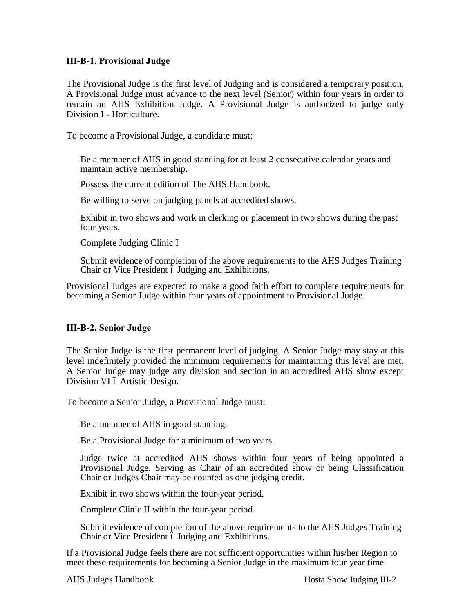#### **III-B-1. Provisional Judge**

The Provisional Judge is the first level of Judging and is considered a temporary position. A Provisional Judge must advance to the next level (Senior) within four years in order to remain an AHS Exhibition Judge. A Provisional Judge is authorized to judge only Division I - Horticulture.

To become a Provisional Judge, a candidate must:

- ï Be a member of AHS in good standing for at least 2 consecutive calendar years and maintain active membership.
- ï Possess the current edition of The AHS Handbook.
- ï Be willing to serve on judging panels at accredited shows.
- ï Exhibit in two shows and work in clerking or placement in two shows during the past four years.
- ï Complete Judging Clinic I
- ï Submit evidence of completion of the above requirements to the AHS Judges Training Chair or Vice President  $\acute{o}$  Judging and Exhibitions.

Provisional Judges are expected to make a good faith effort to complete requirements for becoming a Senior Judge within four years of appointment to Provisional Judge.

#### **III-B-2. Senior Judge**

The Senior Judge is the first permanent level of judging. A Senior Judge may stay at this level indefinitely provided the minimum requirements for maintaining this level are met. A Senior Judge may judge any division and section in an accredited AHS show except Division VI ó Artistic Design.

To become a Senior Judge, a Provisional Judge must:

- ï Be a member of AHS in good standing.
- ï Be a Provisional Judge for a minimum of two years.
- ï Judge twice at accredited AHS shows within four years of being appointed a Provisional Judge. Serving as Chair of an accredited show or being Classification Chair or Judges Chair may be counted as one judging credit.
- ï Exhibit in two shows within the four-year period.
- ï Complete Clinic II within the four-year period.
- ï Submit evidence of completion of the above requirements to the AHS Judges Training Chair or Vice President 6 Judging and Exhibitions.

If a Provisional Judge feels there are not sufficient opportunities within his/her Region to meet these requirements for becoming a Senior Judge in the maximum four year time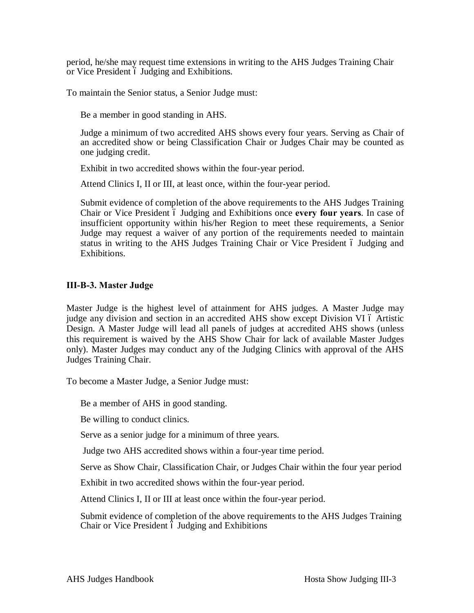period, he/she may request time extensions in writing to the AHS Judges Training Chair or Vice President 6 Judging and Exhibitions.

To maintain the Senior status, a Senior Judge must:

- ï Be a member in good standing in AHS.
- ï Judge a minimum of two accredited AHS shows every four years. Serving as Chair of an accredited show or being Classification Chair or Judges Chair may be counted as one judging credit.
- ï Exhibit in two accredited shows within the four-year period.
- ï Attend Clinics I, II or III, at least once, within the four-year period.
- ï Submit evidence of completion of the above requirements to the AHS Judges Training Chair or Vice President 6 Judging and Exhibitions once every four years. In case of insufficient opportunity within his/her Region to meet these requirements, a Senior Judge may request a waiver of any portion of the requirements needed to maintain status in writing to the AHS Judges Training Chair or Vice President 6 Judging and Exhibitions.

#### **III-B-3. Master Judge**

Master Judge is the highest level of attainment for AHS judges. A Master Judge may judge any division and section in an accredited AHS show except Division VI 6 Artistic Design. A Master Judge will lead all panels of judges at accredited AHS shows (unless this requirement is waived by the AHS Show Chair for lack of available Master Judges only). Master Judges may conduct any of the Judging Clinics with approval of the AHS Judges Training Chair.

To become a Master Judge, a Senior Judge must:

- ï Be a member of AHS in good standing.
- ï Be willing to conduct clinics.
- ï Serve as a senior judge for a minimum of three years.
- ï Judge two AHS accredited shows within a four-year time period.
- ï Serve as Show Chair, Classification Chair, or Judges Chair within the four year period
- ï Exhibit in two accredited shows within the four-year period.
- ï Attend Clinics I, II or III at least once within the four-year period.
- ï Submit evidence of completion of the above requirements to the AHS Judges Training Chair or Vice President 6 Judging and Exhibitions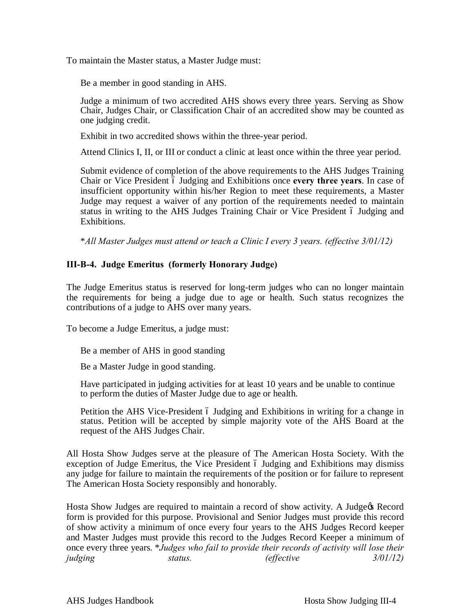To maintain the Master status, a Master Judge must:

- ï Be a member in good standing in AHS.
- ï Judge a minimum of two accredited AHS shows every three years. Serving as Show Chair, Judges Chair, or Classification Chair of an accredited show may be counted as one judging credit.
- ï Exhibit in two accredited shows within the three-year period.
- ï Attend Clinics I, II, or III or conduct a clinic at least once within the three year period.
- ï Submit evidence of completion of the above requirements to the AHS Judges Training Chair or Vice President 6 Judging and Exhibitions once every three years. In case of insufficient opportunity within his/her Region to meet these requirements, a Master Judge may request a waiver of any portion of the requirements needed to maintain status in writing to the AHS Judges Training Chair or Vice President 6 Judging and Exhibitions.

\**All Master Judges must attend or teach a Clinic I every 3 years. (effective 3/01/12)*

#### **III-B-4. Judge Emeritus (formerly Honorary Judge)**

The Judge Emeritus status is reserved for long-term judges who can no longer maintain the requirements for being a judge due to age or health. Such status recognizes the contributions of a judge to AHS over many years.

To become a Judge Emeritus, a judge must:

- ï Be a member of AHS in good standing
- ï Be a Master Judge in good standing.
- ï Have participated in judging activities for at least 10 years and be unable to continue to perform the duties of Master Judge due to age or health.
- ï Petition the AHS Vice-President Judging and Exhibitions in writing for a change in status. Petition will be accepted by simple majority vote of the AHS Board at the request of the AHS Judges Chair.

All Hosta Show Judges serve at the pleasure of The American Hosta Society. With the exception of Judge Emeritus, the Vice President 6 Judging and Exhibitions may dismiss any judge for failure to maintain the requirements of the position or for failure to represent The American Hosta Society responsibly and honorably.

Hosta Show Judges are required to maintain a record of show activity. A Judge & Record form is provided for this purpose. Provisional and Senior Judges must provide this record of show activity a minimum of once every four years to the AHS Judges Record keeper and Master Judges must provide this record to the Judges Record Keeper a minimum of once every three years. \**Judges who fail to provide their records of activity will lose their judging status. (effective 3/01/12)*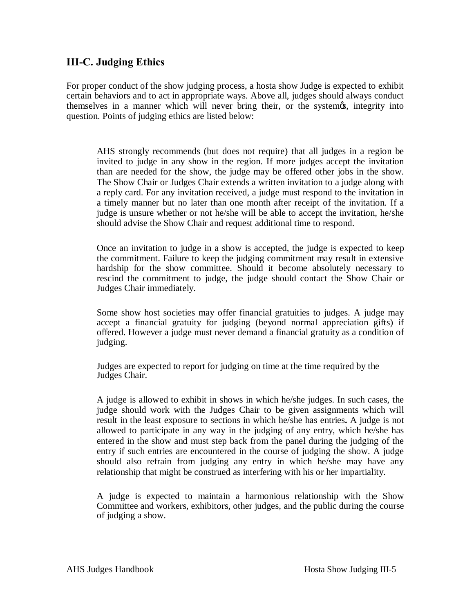# **III-C. Judging Ethics**

For proper conduct of the show judging process, a hosta show Judge is expected to exhibit certain behaviors and to act in appropriate ways. Above all, judges should always conduct themselves in a manner which will never bring their, or the systemes, integrity into question. Points of judging ethics are listed below:

- ï AHS strongly recommends (but does not require) that all judges in a region be invited to judge in any show in the region. If more judges accept the invitation than are needed for the show, the judge may be offered other jobs in the show. The Show Chair or Judges Chair extends a written invitation to a judge along with a reply card. For any invitation received, a judge must respond to the invitation in a timely manner but no later than one month after receipt of the invitation. If a judge is unsure whether or not he/she will be able to accept the invitation, he/she should advise the Show Chair and request additional time to respond.
- ï Once an invitation to judge in a show is accepted, the judge is expected to keep the commitment. Failure to keep the judging commitment may result in extensive hardship for the show committee. Should it become absolutely necessary to rescind the commitment to judge, the judge should contact the Show Chair or Judges Chair immediately.
- ï Some show host societies may offer financial gratuities to judges. A judge may accept a financial gratuity for judging (beyond normal appreciation gifts) if offered. However a judge must never demand a financial gratuity as a condition of judging.
- ï Judges are expected to report for judging on time at the time required by the Judges Chair.
- ï A judge is allowed to exhibit in shows in which he/she judges. In such cases, the judge should work with the Judges Chair to be given assignments which will result in the least exposure to sections in which he/she has entries**.** A judge is not allowed to participate in any way in the judging of any entry, which he/she has entered in the show and must step back from the panel during the judging of the entry if such entries are encountered in the course of judging the show. A judge should also refrain from judging any entry in which he/she may have any relationship that might be construed as interfering with his or her impartiality.
- ï A judge is expected to maintain a harmonious relationship with the Show Committee and workers, exhibitors, other judges, and the public during the course of judging a show.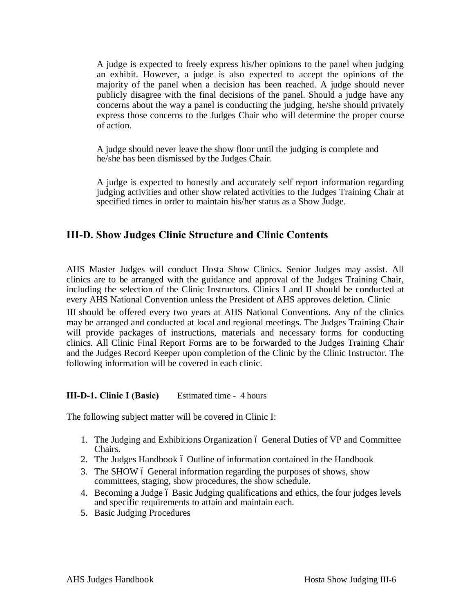- ï A judge is expected to freely express his/her opinions to the panel when judging an exhibit. However, a judge is also expected to accept the opinions of the majority of the panel when a decision has been reached. A judge should never publicly disagree with the final decisions of the panel. Should a judge have any concerns about the way a panel is conducting the judging, he/she should privately express those concerns to the Judges Chair who will determine the proper course of action.
- ï A judge should never leave the show floor until the judging is complete and he/she has been dismissed by the Judges Chair.
- ï A judge is expected to honestly and accurately self report information regarding judging activities and other show related activities to the Judges Training Chair at specified times in order to maintain his/her status as a Show Judge.

# **III-D. Show Judges Clinic Structure and Clinic Contents**

AHS Master Judges will conduct Hosta Show Clinics. Senior Judges may assist. All clinics are to be arranged with the guidance and approval of the Judges Training Chair, including the selection of the Clinic Instructors. Clinics I and II should be conducted at every AHS National Convention unless the President of AHS approves deletion. Clinic

III should be offered every two years at AHS National Conventions. Any of the clinics may be arranged and conducted at local and regional meetings. The Judges Training Chair will provide packages of instructions, materials and necessary forms for conducting clinics. All Clinic Final Report Forms are to be forwarded to the Judges Training Chair and the Judges Record Keeper upon completion of the Clinic by the Clinic Instructor. The following information will be covered in each clinic.

#### **III-D-1. Clinic I (Basic)** Estimated time - 4 hours

The following subject matter will be covered in Clinic I:

- 1. The Judging and Exhibitions Organization 6 General Duties of VP and Committee Chairs.
- 2. The Judges Handbook 6 Outline of information contained in the Handbook
- 3. The SHOW 6 General information regarding the purposes of shows, show committees, staging, show procedures, the show schedule.
- 4. Becoming a Judge 6 Basic Judging qualifications and ethics, the four judges levels and specific requirements to attain and maintain each.
- 5. Basic Judging Procedures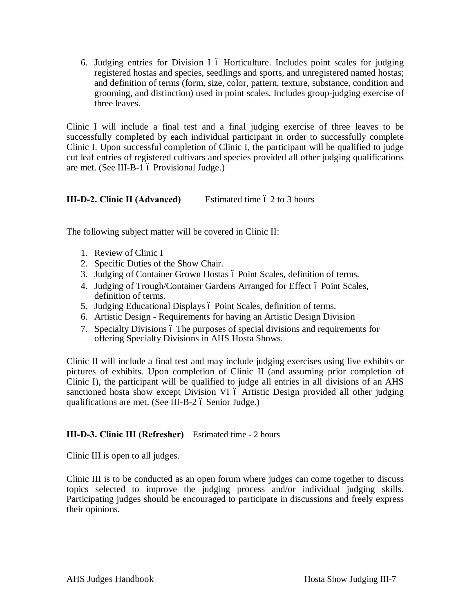6. Judging entries for Division I 6 Horticulture. Includes point scales for judging registered hostas and species, seedlings and sports, and unregistered named hostas; and definition of terms (form, size, color, pattern, texture, substance, condition and grooming, and distinction) used in point scales. Includes group-judging exercise of three leaves.

Clinic I will include a final test and a final judging exercise of three leaves to be successfully completed by each individual participant in order to successfully complete Clinic I. Upon successful completion of Clinic I, the participant will be qualified to judge cut leaf entries of registered cultivars and species provided all other judging qualifications are met. (See III-B-1 ó Provisional Judge.)

#### **III-D-2. Clinic II (Advanced)** Estimated time 6 2 to 3 hours

The following subject matter will be covered in Clinic II:

- 1. Review of Clinic I
- 2. Specific Duties of the Show Chair.
- 3. Judging of Container Grown Hostas ó Point Scales, definition of terms.
- 4. Judging of Trough/Container Gardens Arranged for Effect 6 Point Scales, definition of terms.
- 5. Judging Educational Displays 6 Point Scales, definition of terms.
- 6. Artistic Design Requirements for having an Artistic Design Division
- 7. Specialty Divisions 6 The purposes of special divisions and requirements for offering Specialty Divisions in AHS Hosta Shows.

Clinic II will include a final test and may include judging exercises using live exhibits or pictures of exhibits. Upon completion of Clinic II (and assuming prior completion of Clinic I), the participant will be qualified to judge all entries in all divisions of an AHS sanctioned hosta show except Division VI 6 Artistic Design provided all other judging qualifications are met. (See III-B-2 ó Senior Judge.)

#### **III-D-3. Clinic III (Refresher)** Estimated time - 2 hours

Clinic III is open to all judges.

Clinic III is to be conducted as an open forum where judges can come together to discuss topics selected to improve the judging process and/or individual judging skills. Participating judges should be encouraged to participate in discussions and freely express their opinions.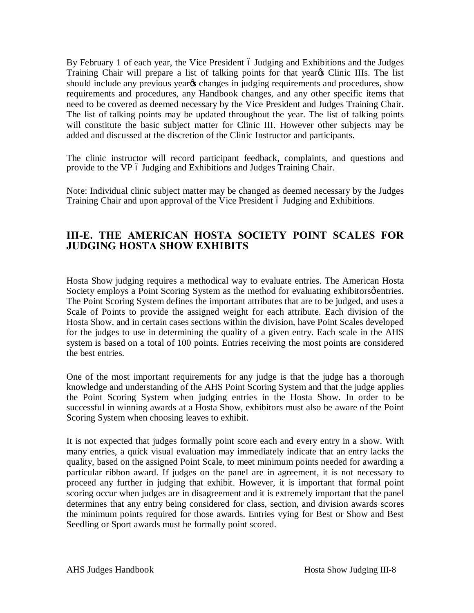By February 1 of each year, the Vice President 6 Judging and Exhibitions and the Judges Training Chair will prepare a list of talking points for that year<sub>\$</sub> Clinic IIIs. The list should include any previous year<sub>%</sub> changes in judging requirements and procedures, show requirements and procedures, any Handbook changes, and any other specific items that need to be covered as deemed necessary by the Vice President and Judges Training Chair. The list of talking points may be updated throughout the year. The list of talking points will constitute the basic subject matter for Clinic III. However other subjects may be added and discussed at the discretion of the Clinic Instructor and participants.

The clinic instructor will record participant feedback, complaints, and questions and provide to the VP 6 Judging and Exhibitions and Judges Training Chair.

Note: Individual clinic subject matter may be changed as deemed necessary by the Judges Training Chair and upon approval of the Vice President 6 Judging and Exhibitions.

# **III-E. THE AMERICAN HOSTA SOCIETY POINT SCALES FOR JUDGING HOSTA SHOW EXHIBITS**

Hosta Show judging requires a methodical way to evaluate entries. The American Hosta Society employs a Point Scoring System as the method for evaluating exhibitors  $\phi$  entries. The Point Scoring System defines the important attributes that are to be judged, and uses a Scale of Points to provide the assigned weight for each attribute. Each division of the Hosta Show, and in certain cases sections within the division, have Point Scales developed for the judges to use in determining the quality of a given entry. Each scale in the AHS system is based on a total of 100 points. Entries receiving the most points are considered the best entries.

One of the most important requirements for any judge is that the judge has a thorough knowledge and understanding of the AHS Point Scoring System and that the judge applies the Point Scoring System when judging entries in the Hosta Show. In order to be successful in winning awards at a Hosta Show, exhibitors must also be aware of the Point Scoring System when choosing leaves to exhibit.

It is not expected that judges formally point score each and every entry in a show. With many entries, a quick visual evaluation may immediately indicate that an entry lacks the quality, based on the assigned Point Scale, to meet minimum points needed for awarding a particular ribbon award. If judges on the panel are in agreement, it is not necessary to proceed any further in judging that exhibit. However, it is important that formal point scoring occur when judges are in disagreement and it is extremely important that the panel determines that any entry being considered for class, section, and division awards scores the minimum points required for those awards. Entries vying for Best or Show and Best Seedling or Sport awards must be formally point scored.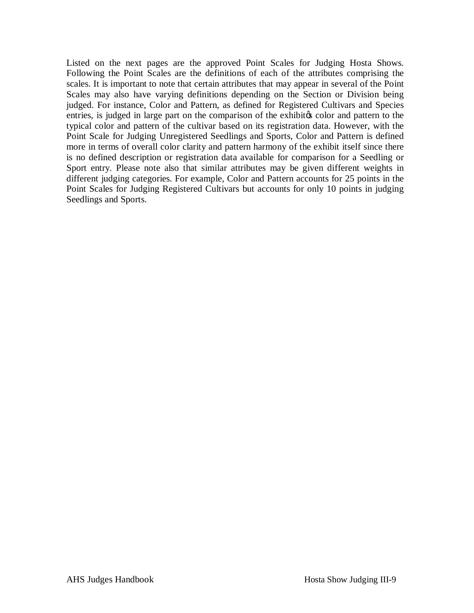Listed on the next pages are the approved Point Scales for Judging Hosta Shows. Following the Point Scales are the definitions of each of the attributes comprising the scales. It is important to note that certain attributes that may appear in several of the Point Scales may also have varying definitions depending on the Section or Division being judged. For instance, Color and Pattern, as defined for Registered Cultivars and Species entries, is judged in large part on the comparison of the exhibites color and pattern to the typical color and pattern of the cultivar based on its registration data. However, with the Point Scale for Judging Unregistered Seedlings and Sports, Color and Pattern is defined more in terms of overall color clarity and pattern harmony of the exhibit itself since there is no defined description or registration data available for comparison for a Seedling or Sport entry. Please note also that similar attributes may be given different weights in different judging categories. For example, Color and Pattern accounts for 25 points in the Point Scales for Judging Registered Cultivars but accounts for only 10 points in judging Seedlings and Sports.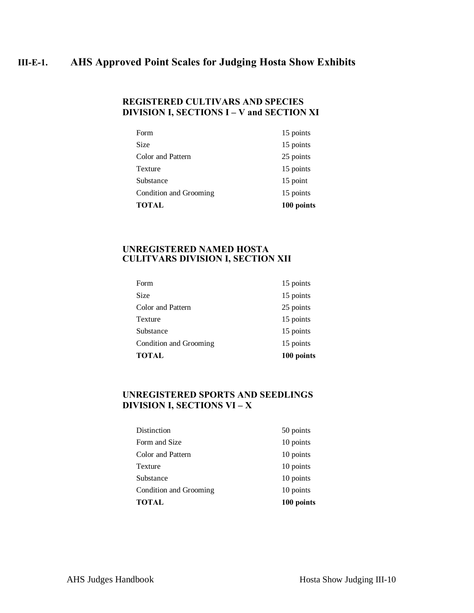# **III-E-1. AHS Approved Point Scales for Judging Hosta Show Exhibits**

#### **REGISTERED CULTIVARS AND SPECIES DIVISION I, SECTIONS I – V and SECTION XI**

| <b>TOTAL</b>           | 100 points |
|------------------------|------------|
| Condition and Grooming | 15 points  |
| Substance              | 15 point   |
| Texture                | 15 points  |
| Color and Pattern      | 25 points  |
| <b>Size</b>            | 15 points  |
| Form                   | 15 points  |

#### **UNREGISTERED NAMED HOSTA CULITVARS DIVISION I, SECTION XII**

| <b>TOTAL</b>           | 100 points |
|------------------------|------------|
| Condition and Grooming | 15 points  |
| Substance              | 15 points  |
| Texture                | 15 points  |
| Color and Pattern      | 25 points  |
| Size                   | 15 points  |
| Form                   | 15 points  |

#### **UNREGISTERED SPORTS AND SEEDLINGS DIVISION I, SECTIONS VI – X**

| TOTAL                  | 100 points |
|------------------------|------------|
| Condition and Grooming | 10 points  |
| Substance              | 10 points  |
| Texture                | 10 points  |
| Color and Pattern      | 10 points  |
| Form and Size          | 10 points  |
| Distinction            | 50 points  |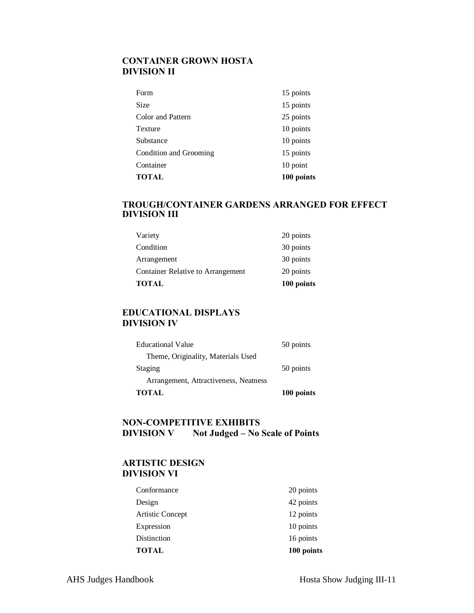### **CONTAINER GROWN HOSTA DIVISION II**

| 10 point  |
|-----------|
| 15 points |
| 10 points |
| 10 points |
| 25 points |
| 15 points |
| 15 points |
|           |

### **TROUGH/CONTAINER GARDENS ARRANGED FOR EFFECT DIVISION III**

| <b>TOTAL</b>                             | 100 points |
|------------------------------------------|------------|
| <b>Container Relative to Arrangement</b> | 20 points  |
| Arrangement                              | 30 points  |
| Condition                                | 30 points  |
| Variety                                  | 20 points  |

#### **EDUCATIONAL DISPLAYS DIVISION IV**

| <b>TOTAL</b>                          | 100 points |
|---------------------------------------|------------|
| Arrangement, Attractiveness, Neatness |            |
| Staging                               | 50 points  |
| Theme, Originality, Materials Used    |            |
| <b>Educational Value</b>              | 50 points  |

#### **NON-COMPETITIVE EXHIBITS DIVISION V Not Judged – No Scale of Points**

#### **ARTISTIC DESIGN DIVISION VI**

| <b>TOTAL</b>     | 100 points |
|------------------|------------|
| Distinction      | 16 points  |
| Expression       | 10 points  |
| Artistic Concept | 12 points  |
| Design           | 42 points  |
| Conformance      | 20 points  |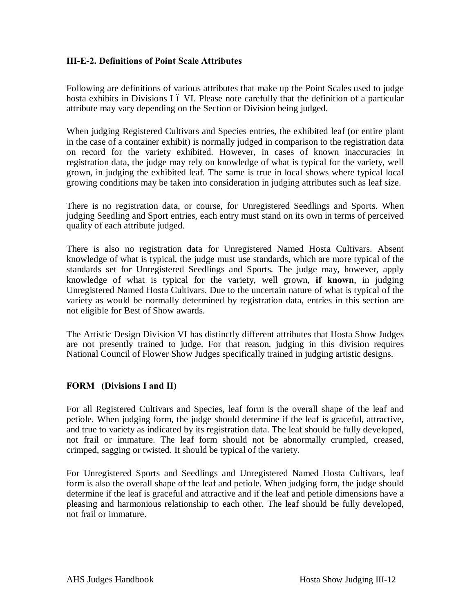#### **III-E-2. Definitions of Point Scale Attributes**

Following are definitions of various attributes that make up the Point Scales used to judge hosta exhibits in Divisions I 6 VI. Please note carefully that the definition of a particular attribute may vary depending on the Section or Division being judged.

When judging Registered Cultivars and Species entries, the exhibited leaf (or entire plant in the case of a container exhibit) is normally judged in comparison to the registration data on record for the variety exhibited. However, in cases of known inaccuracies in registration data, the judge may rely on knowledge of what is typical for the variety, well grown, in judging the exhibited leaf. The same is true in local shows where typical local growing conditions may be taken into consideration in judging attributes such as leaf size.

There is no registration data, or course, for Unregistered Seedlings and Sports. When judging Seedling and Sport entries, each entry must stand on its own in terms of perceived quality of each attribute judged.

There is also no registration data for Unregistered Named Hosta Cultivars. Absent knowledge of what is typical, the judge must use standards, which are more typical of the standards set for Unregistered Seedlings and Sports. The judge may, however, apply knowledge of what is typical for the variety, well grown, **if known**, in judging Unregistered Named Hosta Cultivars. Due to the uncertain nature of what is typical of the variety as would be normally determined by registration data, entries in this section are not eligible for Best of Show awards.

The Artistic Design Division VI has distinctly different attributes that Hosta Show Judges are not presently trained to judge. For that reason, judging in this division requires National Council of Flower Show Judges specifically trained in judging artistic designs.

#### **FORM (Divisions I and II)**

For all Registered Cultivars and Species, leaf form is the overall shape of the leaf and petiole. When judging form, the judge should determine if the leaf is graceful, attractive, and true to variety as indicated by its registration data. The leaf should be fully developed, not frail or immature. The leaf form should not be abnormally crumpled, creased, crimped, sagging or twisted. It should be typical of the variety.

For Unregistered Sports and Seedlings and Unregistered Named Hosta Cultivars, leaf form is also the overall shape of the leaf and petiole. When judging form, the judge should determine if the leaf is graceful and attractive and if the leaf and petiole dimensions have a pleasing and harmonious relationship to each other. The leaf should be fully developed, not frail or immature.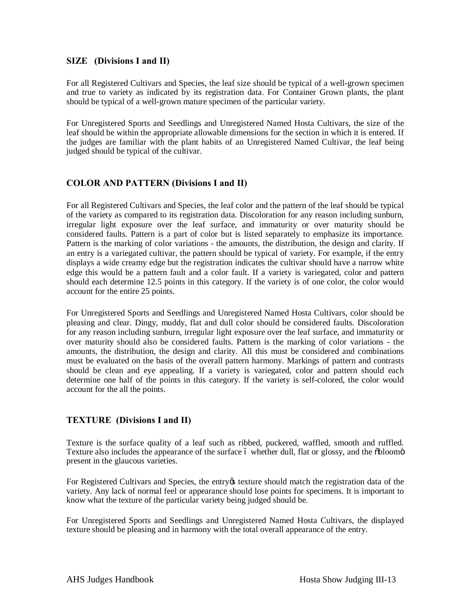#### **SIZE (Divisions I and II)**

For all Registered Cultivars and Species, the leaf size should be typical of a well-grown specimen and true to variety as indicated by its registration data. For Container Grown plants, the plant should be typical of a well-grown mature specimen of the particular variety.

For Unregistered Sports and Seedlings and Unregistered Named Hosta Cultivars, the size of the leaf should be within the appropriate allowable dimensions for the section in which it is entered. If the judges are familiar with the plant habits of an Unregistered Named Cultivar, the leaf being judged should be typical of the cultivar.

#### **COLOR AND PATTERN (Divisions I and II)**

For all Registered Cultivars and Species, the leaf color and the pattern of the leaf should be typical of the variety as compared to its registration data. Discoloration for any reason including sunburn, irregular light exposure over the leaf surface, and immaturity or over maturity should be considered faults. Pattern is a part of color but is listed separately to emphasize its importance. Pattern is the marking of color variations - the amounts, the distribution, the design and clarity. If an entry is a variegated cultivar, the pattern should be typical of variety. For example, if the entry displays a wide creamy edge but the registration indicates the cultivar should have a narrow white edge this would be a pattern fault and a color fault. If a variety is variegated, color and pattern should each determine 12.5 points in this category. If the variety is of one color, the color would account for the entire 25 points.

For Unregistered Sports and Seedlings and Unregistered Named Hosta Cultivars, color should be pleasing and clear. Dingy, muddy, flat and dull color should be considered faults. Discoloration for any reason including sunburn, irregular light exposure over the leaf surface, and immaturity or over maturity should also be considered faults. Pattern is the marking of color variations - the amounts, the distribution, the design and clarity. All this must be considered and combinations must be evaluated on the basis of the overall pattern harmony. Markings of pattern and contrasts should be clean and eye appealing. If a variety is variegated, color and pattern should each determine one half of the points in this category. If the variety is self-colored, the color would account for the all the points.

#### **TEXTURE (Divisions I and II)**

Texture is the surface quality of a leaf such as ribbed, puckered, waffled, smooth and ruffled. Texture also includes the appearance of the surface 6 whether dull, flat or glossy, and the  $\delta$ bloom $\ddot{o}$ present in the glaucous varieties.

For Registered Cultivars and Species, the entry texture should match the registration data of the variety. Any lack of normal feel or appearance should lose points for specimens. It is important to know what the texture of the particular variety being judged should be.

For Unregistered Sports and Seedlings and Unregistered Named Hosta Cultivars, the displayed texture should be pleasing and in harmony with the total overall appearance of the entry.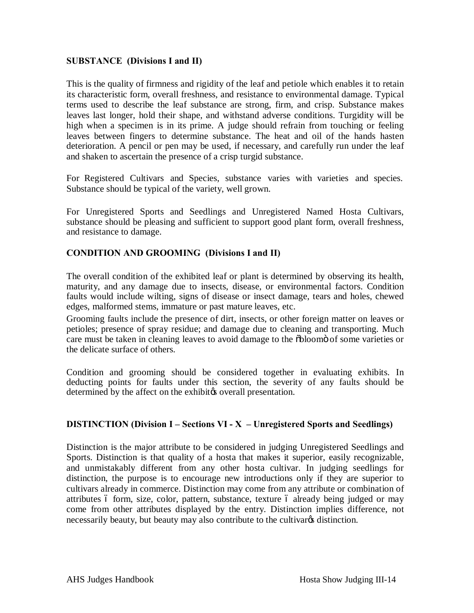#### **SUBSTANCE (Divisions I and II)**

This is the quality of firmness and rigidity of the leaf and petiole which enables it to retain its characteristic form, overall freshness, and resistance to environmental damage. Typical terms used to describe the leaf substance are strong, firm, and crisp. Substance makes leaves last longer, hold their shape, and withstand adverse conditions. Turgidity will be high when a specimen is in its prime. A judge should refrain from touching or feeling leaves between fingers to determine substance. The heat and oil of the hands hasten deterioration. A pencil or pen may be used, if necessary, and carefully run under the leaf and shaken to ascertain the presence of a crisp turgid substance.

For Registered Cultivars and Species, substance varies with varieties and species. Substance should be typical of the variety, well grown.

For Unregistered Sports and Seedlings and Unregistered Named Hosta Cultivars, substance should be pleasing and sufficient to support good plant form, overall freshness, and resistance to damage.

#### **CONDITION AND GROOMING (Divisions I and II)**

The overall condition of the exhibited leaf or plant is determined by observing its health, maturity, and any damage due to insects, disease, or environmental factors. Condition faults would include wilting, signs of disease or insect damage, tears and holes, chewed edges, malformed stems, immature or past mature leaves, etc.

Grooming faults include the presence of dirt, insects, or other foreign matter on leaves or petioles; presence of spray residue; and damage due to cleaning and transporting. Much care must be taken in cleaning leaves to avoid damage to the  $\delta$ bloom $\ddot{o}$  of some varieties or the delicate surface of others.

Condition and grooming should be considered together in evaluating exhibits. In deducting points for faults under this section, the severity of any faults should be determined by the affect on the exhibites overall presentation.

#### **DISTINCTION (Division I – Sections VI - X – Unregistered Sports and Seedlings)**

Distinction is the major attribute to be considered in judging Unregistered Seedlings and Sports. Distinction is that quality of a hosta that makes it superior, easily recognizable, and unmistakably different from any other hosta cultivar. In judging seedlings for distinction, the purpose is to encourage new introductions only if they are superior to cultivars already in commerce. Distinction may come from any attribute or combination of attributes 6 form, size, color, pattern, substance, texture 6 already being judged or may come from other attributes displayed by the entry. Distinction implies difference, not necessarily beauty, but beauty may also contribute to the cultivary distinction.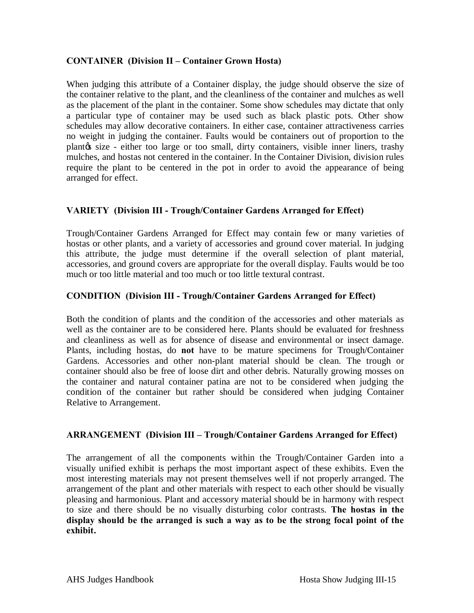#### **CONTAINER (Division II – Container Grown Hosta)**

When judging this attribute of a Container display, the judge should observe the size of the container relative to the plant, and the cleanliness of the container and mulches as well as the placement of the plant in the container. Some show schedules may dictate that only a particular type of container may be used such as black plastic pots. Other show schedules may allow decorative containers. In either case, container attractiveness carries no weight in judging the container. Faults would be containers out of proportion to the plant  $\alpha$  size - either too large or too small, dirty containers, visible inner liners, trashy mulches, and hostas not centered in the container. In the Container Division, division rules require the plant to be centered in the pot in order to avoid the appearance of being arranged for effect.

#### **VARIETY (Division III - Trough/Container Gardens Arranged for Effect)**

Trough/Container Gardens Arranged for Effect may contain few or many varieties of hostas or other plants, and a variety of accessories and ground cover material. In judging this attribute, the judge must determine if the overall selection of plant material, accessories, and ground covers are appropriate for the overall display. Faults would be too much or too little material and too much or too little textural contrast.

#### **CONDITION (Division III - Trough/Container Gardens Arranged for Effect)**

Both the condition of plants and the condition of the accessories and other materials as well as the container are to be considered here. Plants should be evaluated for freshness and cleanliness as well as for absence of disease and environmental or insect damage. Plants, including hostas, do **not** have to be mature specimens for Trough/Container Gardens. Accessories and other non-plant material should be clean. The trough or container should also be free of loose dirt and other debris. Naturally growing mosses on the container and natural container patina are not to be considered when judging the condition of the container but rather should be considered when judging Container Relative to Arrangement.

#### **ARRANGEMENT (Division III – Trough/Container Gardens Arranged for Effect)**

The arrangement of all the components within the Trough/Container Garden into a visually unified exhibit is perhaps the most important aspect of these exhibits. Even the most interesting materials may not present themselves well if not properly arranged. The arrangement of the plant and other materials with respect to each other should be visually pleasing and harmonious. Plant and accessory material should be in harmony with respect to size and there should be no visually disturbing color contrasts. **The hostas in the display should be the arranged is such a way as to be the strong focal point of the exhibit.**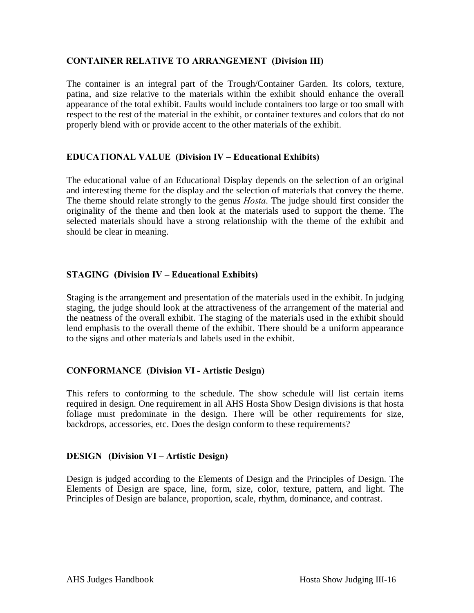#### **CONTAINER RELATIVE TO ARRANGEMENT (Division III)**

The container is an integral part of the Trough/Container Garden. Its colors, texture, patina, and size relative to the materials within the exhibit should enhance the overall appearance of the total exhibit. Faults would include containers too large or too small with respect to the rest of the material in the exhibit, or container textures and colors that do not properly blend with or provide accent to the other materials of the exhibit.

#### **EDUCATIONAL VALUE (Division IV – Educational Exhibits)**

The educational value of an Educational Display depends on the selection of an original and interesting theme for the display and the selection of materials that convey the theme. The theme should relate strongly to the genus *Hosta*. The judge should first consider the originality of the theme and then look at the materials used to support the theme. The selected materials should have a strong relationship with the theme of the exhibit and should be clear in meaning.

#### **STAGING (Division IV – Educational Exhibits)**

Staging is the arrangement and presentation of the materials used in the exhibit. In judging staging, the judge should look at the attractiveness of the arrangement of the material and the neatness of the overall exhibit. The staging of the materials used in the exhibit should lend emphasis to the overall theme of the exhibit. There should be a uniform appearance to the signs and other materials and labels used in the exhibit.

#### **CONFORMANCE (Division VI - Artistic Design)**

This refers to conforming to the schedule. The show schedule will list certain items required in design. One requirement in all AHS Hosta Show Design divisions is that hosta foliage must predominate in the design. There will be other requirements for size, backdrops, accessories, etc. Does the design conform to these requirements?

#### **DESIGN (Division VI – Artistic Design)**

Design is judged according to the Elements of Design and the Principles of Design. The Elements of Design are space, line, form, size, color, texture, pattern, and light. The Principles of Design are balance, proportion, scale, rhythm, dominance, and contrast.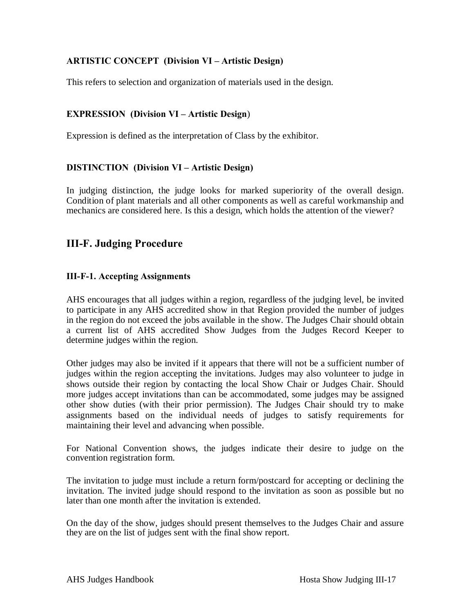### **ARTISTIC CONCEPT (Division VI – Artistic Design)**

This refers to selection and organization of materials used in the design.

#### **EXPRESSION** (Division VI – Artistic Design)

Expression is defined as the interpretation of Class by the exhibitor.

#### **DISTINCTION (Division VI – Artistic Design)**

In judging distinction, the judge looks for marked superiority of the overall design. Condition of plant materials and all other components as well as careful workmanship and mechanics are considered here. Is this a design, which holds the attention of the viewer?

# **III-F. Judging Procedure**

#### **III-F-1. Accepting Assignments**

AHS encourages that all judges within a region, regardless of the judging level, be invited to participate in any AHS accredited show in that Region provided the number of judges in the region do not exceed the jobs available in the show. The Judges Chair should obtain a current list of AHS accredited Show Judges from the Judges Record Keeper to determine judges within the region.

Other judges may also be invited if it appears that there will not be a sufficient number of judges within the region accepting the invitations. Judges may also volunteer to judge in shows outside their region by contacting the local Show Chair or Judges Chair. Should more judges accept invitations than can be accommodated, some judges may be assigned other show duties (with their prior permission). The Judges Chair should try to make assignments based on the individual needs of judges to satisfy requirements for maintaining their level and advancing when possible.

For National Convention shows, the judges indicate their desire to judge on the convention registration form.

The invitation to judge must include a return form/postcard for accepting or declining the invitation. The invited judge should respond to the invitation as soon as possible but no later than one month after the invitation is extended.

On the day of the show, judges should present themselves to the Judges Chair and assure they are on the list of judges sent with the final show report.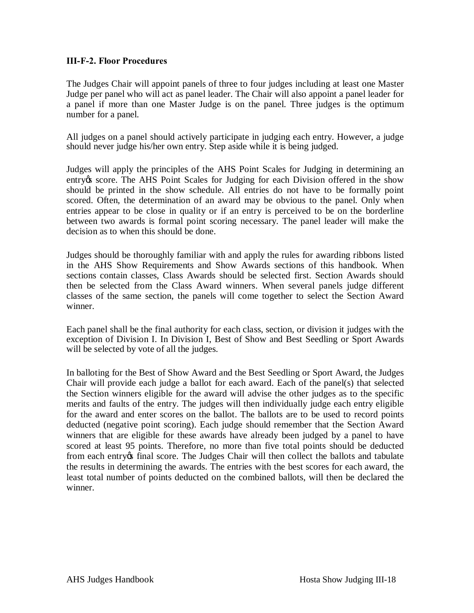#### **III-F-2. Floor Procedures**

The Judges Chair will appoint panels of three to four judges including at least one Master Judge per panel who will act as panel leader. The Chair will also appoint a panel leader for a panel if more than one Master Judge is on the panel. Three judges is the optimum number for a panel.

All judges on a panel should actively participate in judging each entry. However, a judge should never judge his/her own entry. Step aside while it is being judged.

Judges will apply the principles of the AHS Point Scales for Judging in determining an entry ts score. The AHS Point Scales for Judging for each Division offered in the show should be printed in the show schedule. All entries do not have to be formally point scored. Often, the determination of an award may be obvious to the panel. Only when entries appear to be close in quality or if an entry is perceived to be on the borderline between two awards is formal point scoring necessary. The panel leader will make the decision as to when this should be done.

Judges should be thoroughly familiar with and apply the rules for awarding ribbons listed in the AHS Show Requirements and Show Awards sections of this handbook. When sections contain classes, Class Awards should be selected first. Section Awards should then be selected from the Class Award winners. When several panels judge different classes of the same section, the panels will come together to select the Section Award winner.

Each panel shall be the final authority for each class, section, or division it judges with the exception of Division I. In Division I, Best of Show and Best Seedling or Sport Awards will be selected by vote of all the judges.

In balloting for the Best of Show Award and the Best Seedling or Sport Award, the Judges Chair will provide each judge a ballot for each award. Each of the panel(s) that selected the Section winners eligible for the award will advise the other judges as to the specific merits and faults of the entry. The judges will then individually judge each entry eligible for the award and enter scores on the ballot. The ballots are to be used to record points deducted (negative point scoring). Each judge should remember that the Section Award winners that are eligible for these awards have already been judged by a panel to have scored at least 95 points. Therefore, no more than five total points should be deducted from each entry os final score. The Judges Chair will then collect the ballots and tabulate the results in determining the awards. The entries with the best scores for each award, the least total number of points deducted on the combined ballots, will then be declared the winner.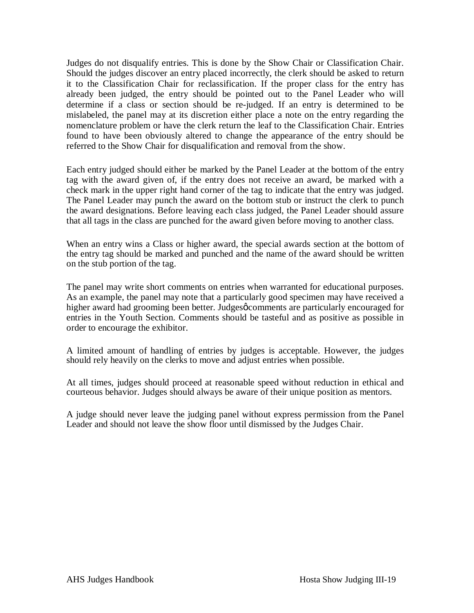Judges do not disqualify entries. This is done by the Show Chair or Classification Chair. Should the judges discover an entry placed incorrectly, the clerk should be asked to return it to the Classification Chair for reclassification. If the proper class for the entry has already been judged, the entry should be pointed out to the Panel Leader who will determine if a class or section should be re-judged. If an entry is determined to be mislabeled, the panel may at its discretion either place a note on the entry regarding the nomenclature problem or have the clerk return the leaf to the Classification Chair. Entries found to have been obviously altered to change the appearance of the entry should be referred to the Show Chair for disqualification and removal from the show.

Each entry judged should either be marked by the Panel Leader at the bottom of the entry tag with the award given of, if the entry does not receive an award, be marked with a check mark in the upper right hand corner of the tag to indicate that the entry was judged. The Panel Leader may punch the award on the bottom stub or instruct the clerk to punch the award designations. Before leaving each class judged, the Panel Leader should assure that all tags in the class are punched for the award given before moving to another class.

When an entry wins a Class or higher award, the special awards section at the bottom of the entry tag should be marked and punched and the name of the award should be written on the stub portion of the tag.

The panel may write short comments on entries when warranted for educational purposes. As an example, the panel may note that a particularly good specimen may have received a higher award had grooming been better. Judgesø comments are particularly encouraged for entries in the Youth Section. Comments should be tasteful and as positive as possible in order to encourage the exhibitor.

A limited amount of handling of entries by judges is acceptable. However, the judges should rely heavily on the clerks to move and adjust entries when possible.

At all times, judges should proceed at reasonable speed without reduction in ethical and courteous behavior. Judges should always be aware of their unique position as mentors.

A judge should never leave the judging panel without express permission from the Panel Leader and should not leave the show floor until dismissed by the Judges Chair.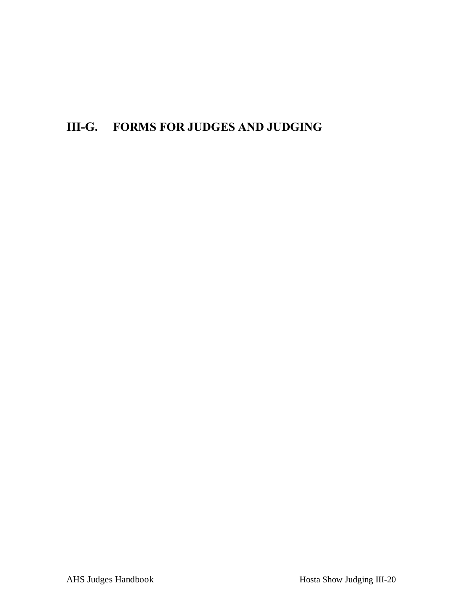# **III-G. FORMS FOR JUDGES AND JUDGING**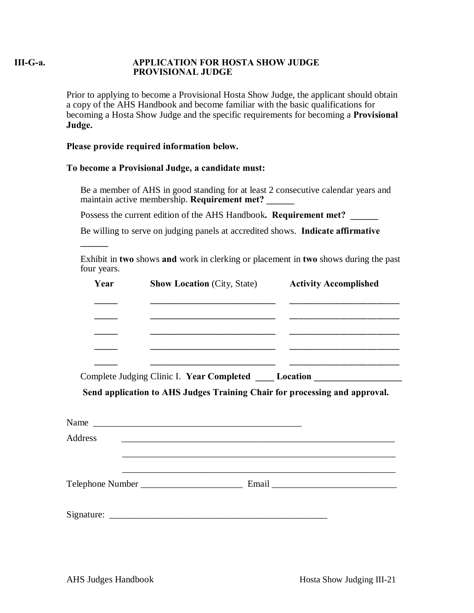#### **III-G-a. APPLICATION FOR HOSTA SHOW JUDGE PROVISIONAL JUDGE**

Prior to applying to become a Provisional Hosta Show Judge, the applicant should obtain a copy of the AHS Handbook and become familiar with the basic qualifications for becoming a Hosta Show Judge and the specific requirements for becoming a **Provisional Judge.**

#### **Please provide required information below.**

**\_\_\_\_\_\_**

#### **To become a Provisional Judge, a candidate must:**

- ï Be a member of AHS in good standing for at least 2 consecutive calendar years and maintain active membership. **Requirement met?**
- ï Possess the current edition of the AHS Handbook**. Requirement met? \_\_\_\_\_\_**
- ï Be willing to serve on judging panels at accredited shows. **Indicate affirmative**
- ï Exhibit in **two** shows **and** work in clerking or placement in **two** shows during the past four years.

| Year          | <b>Show Location (City, State)</b> Activity Accomplished                                                              |  |  |  |
|---------------|-----------------------------------------------------------------------------------------------------------------------|--|--|--|
|               |                                                                                                                       |  |  |  |
|               |                                                                                                                       |  |  |  |
|               |                                                                                                                       |  |  |  |
|               | Complete Judging Clinic I. Year Completed _____ Location _______________________                                      |  |  |  |
|               |                                                                                                                       |  |  |  |
|               | Send application to AHS Judges Training Chair for processing and approval.                                            |  |  |  |
|               | <u> 1989 - Johann Harry Harry Harry Harry Harry Harry Harry Harry Harry Harry Harry Harry Harry Harry Harry Harry</u> |  |  |  |
|               |                                                                                                                       |  |  |  |
| ï.<br>Address | <u> 1989 - Jan James James James James James James James James James James James James James James James James J</u>  |  |  |  |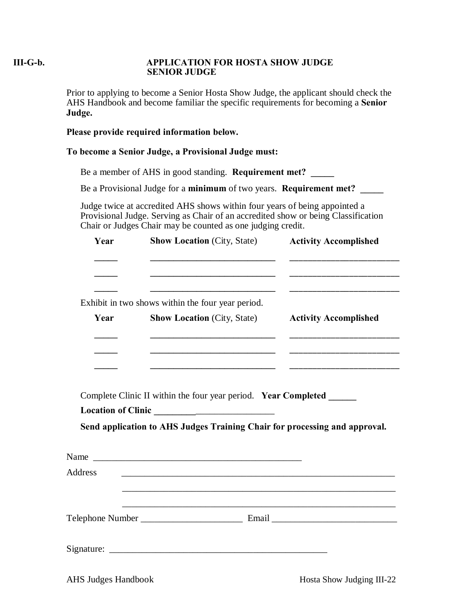### **III-G-b. APPLICATION FOR HOSTA SHOW JUDGE SENIOR JUDGE**

Prior to applying to become a Senior Hosta Show Judge, the applicant should check the AHS Handbook and become familiar the specific requirements for becoming a **Senior Judge.**

#### **Please provide required information below.**

#### **To become a Senior Judge, a Provisional Judge must:**

- ï Be a member of AHS in good standing. **Requirement met? \_\_\_\_\_**
- ï Be a Provisional Judge for a **minimum** of two years. **Requirement met? \_\_\_\_\_**
- ï Judge twice at accredited AHS shows within four years of being appointed a Provisional Judge. Serving as Chair of an accredited show or being Classification Chair or Judges Chair may be counted as one judging credit.

|    | Year    | <b>Show Location (City, State)</b>                                         | <b>Activity Accomplished</b>                                        |
|----|---------|----------------------------------------------------------------------------|---------------------------------------------------------------------|
|    |         |                                                                            | <u> 2000 - Jan Barbara de Santo Antonio de Antonio de Santo Ant</u> |
| ï  |         | Exhibit in two shows within the four year period.                          |                                                                     |
|    | Year    | <b>Show Location</b> (City, State)                                         | <b>Activity Accomplished</b>                                        |
|    |         |                                                                            |                                                                     |
| ï. |         | Complete Clinic II within the four year period. Year Completed             |                                                                     |
| ï. |         | Send application to AHS Judges Training Chair for processing and approval. |                                                                     |
|    |         |                                                                            |                                                                     |
|    | Address | <u> 1989 - Johann Stoff, amerikansk politiker (d. 1989)</u>                |                                                                     |
|    |         |                                                                            |                                                                     |
|    |         |                                                                            |                                                                     |
|    |         |                                                                            |                                                                     |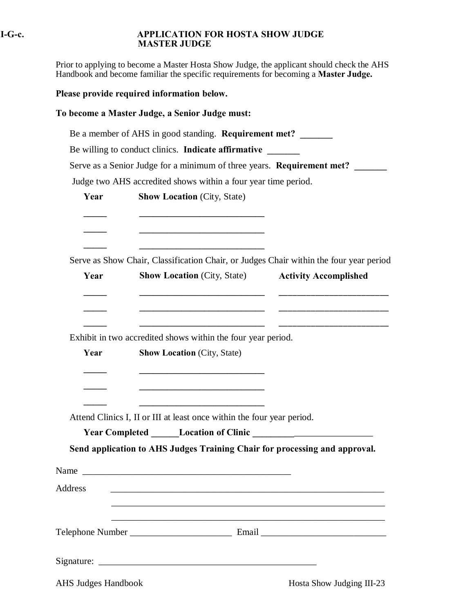#### **I-G-c. APPLICATION FOR HOSTA SHOW JUDGE MASTER JUDGE**

Prior to applying to become a Master Hosta Show Judge, the applicant should check the AHS Handbook and become familiar the specific requirements for becoming a **Master Judge.**

**Please provide required information below.**

**To become a Master Judge, a Senior Judge must:**

- ï Be a member of AHS in good standing. **Requirement met? \_\_\_\_\_\_\_**
- ï Be willing to conduct clinics. **Indicate affirmative \_\_\_\_\_\_\_**
- ï Serve as a Senior Judge for a minimum of three years. **Requirement met? \_\_\_\_\_\_\_**
- ï Judge two AHS accredited shows within a four year time period.

|    | Year           | <b>Show Location (City, State)</b>                                                                                                                                                                                             |                              |
|----|----------------|--------------------------------------------------------------------------------------------------------------------------------------------------------------------------------------------------------------------------------|------------------------------|
|    |                |                                                                                                                                                                                                                                |                              |
| ï  | Year           | Serve as Show Chair, Classification Chair, or Judges Chair within the four year period<br><b>Show Location (City, State)</b>                                                                                                   | <b>Activity Accomplished</b> |
| ï  | Year           | Exhibit in two accredited shows within the four year period.<br><b>Show Location (City, State)</b>                                                                                                                             |                              |
| ï  |                | <u> 1989 - Johann Barn, mars ann an t-Amhain an t-Amhain an t-Amhain an t-Amhain an t-Amhain an t-Amhain an t-Amh</u><br>Attend Clinics I, II or III at least once within the four year period.                                |                              |
| ï. |                | Send application to AHS Judges Training Chair for processing and approval.                                                                                                                                                     |                              |
|    |                | Name and the contract of the contract of the contract of the contract of the contract of the contract of the contract of the contract of the contract of the contract of the contract of the contract of the contract of the c |                              |
|    | <b>Address</b> |                                                                                                                                                                                                                                |                              |
|    |                |                                                                                                                                                                                                                                |                              |
|    |                |                                                                                                                                                                                                                                |                              |

AHS Judges Handbook Hosta Show Judging III-23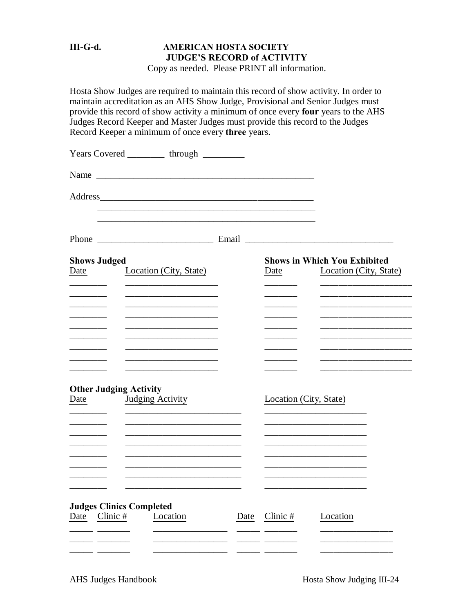# **III-G-d. AMERICAN HOSTA SOCIETY JUDGE'S RECORD of ACTIVITY**

Copy as needed. Please PRINT all information.

Hosta Show Judges are required to maintain this record of show activity. In order to maintain accreditation as an AHS Show Judge, Provisional and Senior Judges must provide this record of show activity a minimum of once every **four** years to the AHS Judges Record Keeper and Master Judges must provide this record to the Judges Record Keeper a minimum of once every **three** years.

|                                                     | Years Covered ___________ through _________                                                                                                                                                                                          |      |                        |                                                               |
|-----------------------------------------------------|--------------------------------------------------------------------------------------------------------------------------------------------------------------------------------------------------------------------------------------|------|------------------------|---------------------------------------------------------------|
|                                                     | Name                                                                                                                                                                                                                                 |      |                        |                                                               |
|                                                     |                                                                                                                                                                                                                                      |      |                        |                                                               |
|                                                     |                                                                                                                                                                                                                                      |      |                        |                                                               |
| <b>Shows Judged</b><br>Date                         | Location (City, State)                                                                                                                                                                                                               |      | Date                   | <b>Shows in Which You Exhibited</b><br>Location (City, State) |
|                                                     |                                                                                                                                                                                                                                      |      |                        |                                                               |
|                                                     | <u> 1989 - Johann Harry Harry Harry Harry Harry Harry Harry Harry Harry Harry Harry Harry Harry Harry Harry Harry Harry Harry Harry Harry Harry Harry Harry Harry Harry Harry Harry Harry Harry Harry Harry Harry Harry Harry Ha</u> |      |                        |                                                               |
| <b>Other Judging Activity</b><br>Date               | Judging Activity                                                                                                                                                                                                                     |      | Location (City, State) |                                                               |
|                                                     |                                                                                                                                                                                                                                      |      |                        |                                                               |
| <b>Judges Clinics Completed</b><br>Clinic #<br>Date | Location                                                                                                                                                                                                                             | Date | Clinic #               | Location                                                      |
|                                                     |                                                                                                                                                                                                                                      |      |                        |                                                               |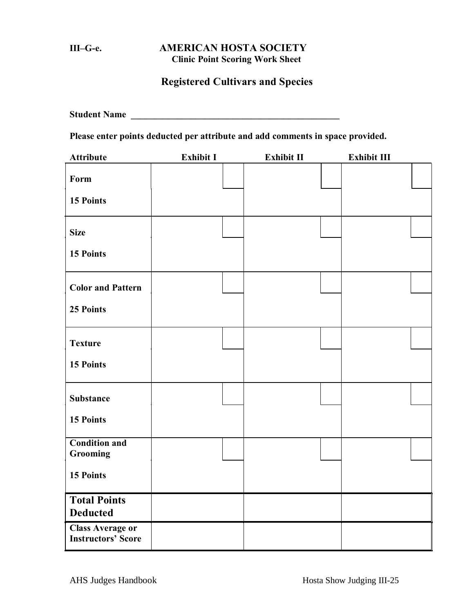# **III–G-e. AMERICAN HOSTA SOCIETY Clinic Point Scoring Work Sheet**

# **Registered Cultivars and Species**

**Student Name \_\_\_\_\_\_\_\_\_\_\_\_\_\_\_\_\_\_\_\_\_\_\_\_\_\_\_\_\_\_\_\_\_\_\_\_\_\_\_\_\_\_\_\_\_**

**Please enter points deducted per attribute and add comments in space provided.**

| <b>Attribute</b>                                     | <b>Exhibit I</b> | Exhibit II | Exhibit III |  |
|------------------------------------------------------|------------------|------------|-------------|--|
| Form                                                 |                  |            |             |  |
| 15 Points                                            |                  |            |             |  |
| <b>Size</b>                                          |                  |            |             |  |
| 15 Points                                            |                  |            |             |  |
| <b>Color and Pattern</b>                             |                  |            |             |  |
| 25 Points                                            |                  |            |             |  |
| <b>Texture</b>                                       |                  |            |             |  |
| <b>15 Points</b>                                     |                  |            |             |  |
| <b>Substance</b>                                     |                  |            |             |  |
| 15 Points                                            |                  |            |             |  |
| <b>Condition and</b><br>Grooming                     |                  |            |             |  |
| 15 Points                                            |                  |            |             |  |
| <b>Total Points</b><br><b>Deducted</b>               |                  |            |             |  |
| <b>Class Average or</b><br><b>Instructors' Score</b> |                  |            |             |  |